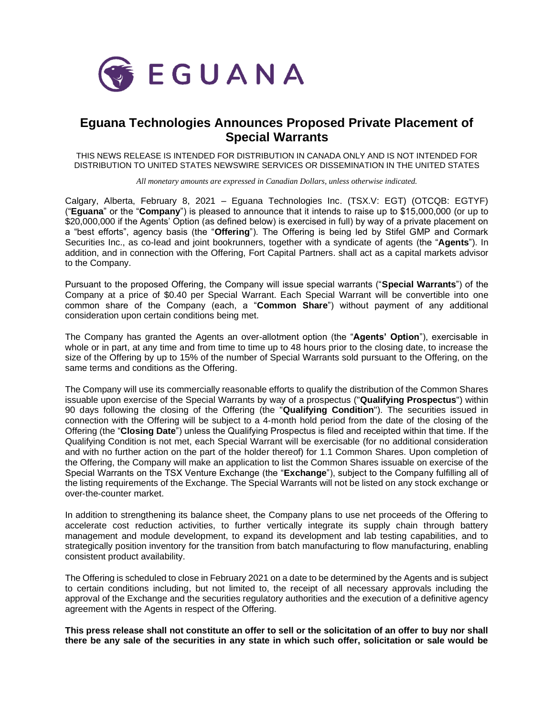

## **Eguana Technologies Announces Proposed Private Placement of Special Warrants**

THIS NEWS RELEASE IS INTENDED FOR DISTRIBUTION IN CANADA ONLY AND IS NOT INTENDED FOR DISTRIBUTION TO UNITED STATES NEWSWIRE SERVICES OR DISSEMINATION IN THE UNITED STATES

*All monetary amounts are expressed in Canadian Dollars, unless otherwise indicated.*

Calgary, Alberta, February 8, 2021 – Eguana Technologies Inc. (TSX.V: EGT) (OTCQB: EGTYF) ("**Eguana**" or the "**Company**") is pleased to announce that it intends to raise up to \$15,000,000 (or up to \$20,000,000 if the Agents' Option (as defined below) is exercised in full) by way of a private placement on a "best efforts", agency basis (the "**Offering**"). The Offering is being led by Stifel GMP and Cormark Securities Inc., as co-lead and joint bookrunners, together with a syndicate of agents (the "**Agents**"). In addition, and in connection with the Offering, Fort Capital Partners. shall act as a capital markets advisor to the Company.

Pursuant to the proposed Offering, the Company will issue special warrants ("**Special Warrants**") of the Company at a price of \$0.40 per Special Warrant. Each Special Warrant will be convertible into one common share of the Company (each, a "**Common Share**") without payment of any additional consideration upon certain conditions being met.

The Company has granted the Agents an over-allotment option (the "**Agents' Option**"), exercisable in whole or in part, at any time and from time to time up to 48 hours prior to the closing date, to increase the size of the Offering by up to 15% of the number of Special Warrants sold pursuant to the Offering, on the same terms and conditions as the Offering.

The Company will use its commercially reasonable efforts to qualify the distribution of the Common Shares issuable upon exercise of the Special Warrants by way of a prospectus ("**Qualifying Prospectus**") within 90 days following the closing of the Offering (the "**Qualifying Condition**"). The securities issued in connection with the Offering will be subject to a 4‐month hold period from the date of the closing of the Offering (the "**Closing Date**") unless the Qualifying Prospectus is filed and receipted within that time. If the Qualifying Condition is not met, each Special Warrant will be exercisable (for no additional consideration and with no further action on the part of the holder thereof) for 1.1 Common Shares. Upon completion of the Offering, the Company will make an application to list the Common Shares issuable on exercise of the Special Warrants on the TSX Venture Exchange (the "**Exchange**"), subject to the Company fulfilling all of the listing requirements of the Exchange. The Special Warrants will not be listed on any stock exchange or over‐the‐counter market.

In addition to strengthening its balance sheet, the Company plans to use net proceeds of the Offering to accelerate cost reduction activities, to further vertically integrate its supply chain through battery management and module development, to expand its development and lab testing capabilities, and to strategically position inventory for the transition from batch manufacturing to flow manufacturing, enabling consistent product availability.

The Offering is scheduled to close in February 2021 on a date to be determined by the Agents and is subject to certain conditions including, but not limited to, the receipt of all necessary approvals including the approval of the Exchange and the securities regulatory authorities and the execution of a definitive agency agreement with the Agents in respect of the Offering.

**This press release shall not constitute an offer to sell or the solicitation of an offer to buy nor shall there be any sale of the securities in any state in which such offer, solicitation or sale would be**